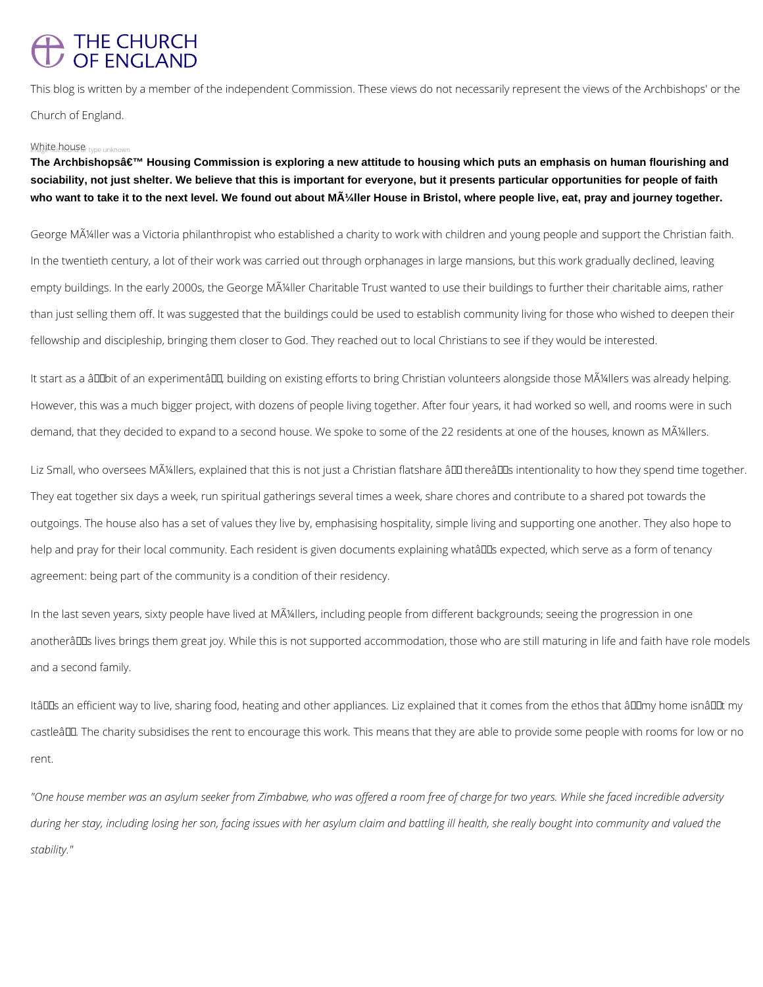## THE CHURCH<br>OF ENGLAND

This blog is written by a member of the independent Commission. These views do not necessarily represent the views of the Archbishops' or the Church of England.

## White house type unknown

The Archbishopsâ€<sup>™</sup> Housing Commission is exploring a new attitude to housing which puts an emphasis on human flourishing and **sociability, not just shelter. We believe that this is important for everyone, but it presents particular opportunities for people of faith**  who want to take it to the next level. We found out about MA<sup>1/</sup><sub>4</sub>ller House in Bristol, where people live, eat, pray and journey together.

George Müller was a Victoria philanthropist who established a charity to work with children and young people and support the Christian faith. In the twentieth century, a lot of their work was carried out through orphanages in large mansions, but this work gradually declined, leaving empty buildings. In the early 2000s, the George MA<sup>I</sup>/4ller Charitable Trust wanted to use their buildings to further their charitable aims, rather than just selling them off. It was suggested that the buildings could be used to establish community living for those who wished to deepen their fellowship and discipleship, bringing them closer to God. They reached out to local Christians to see if they would be interested.

It start as a âDDbit of an experimentâDD, building on existing efforts to bring Christian volunteers alongside those Müllers was already helping. However, this was a much bigger project, with dozens of people living together. After four years, it had worked so well, and rooms were in such demand, that they decided to expand to a second house. We spoke to some of the 22 residents at one of the houses, known as Müllers.

Liz Small, who oversees MA4llers, explained that this is not just a Christian flatshare  $\frac{\partial u}{\partial x}$  therearl intentionality to how they spend time together. They eat together six days a week, run spiritual gatherings several times a week, share chores and contribute to a shared pot towards the outgoings. The house also has a set of values they live by, emphasising hospitality, simple living and supporting one another. They also hope to help and pray for their local community. Each resident is given documents explaining whatâll us expected, which serve as a form of tenancy agreement: being part of the community is a condition of their residency.

In the last seven years, sixty people have lived at MA<sup>I</sup>/4llers, including people from different backgrounds; seeing the progression in one anotherâDDs lives brings them great joy. While this is not supported accommodation, those who are still maturing in life and faith have role models and a second family.

ItâDDs an efficient way to live, sharing food, heating and other appliances. Liz explained that it comes from the ethos that âDDmy home isnâDDt my castleâLL. The charity subsidises the rent to encourage this work. This means that they are able to provide some people with rooms for low or no

rent.

*"One house member was an asylum seeker from Zimbabwe, who was offered a room free of charge for two years. While she faced incredible adversity* 

during her stay, including losing her son, facing issues with her asylum claim and battling ill health, she really bought into community and valued the

*stability."*